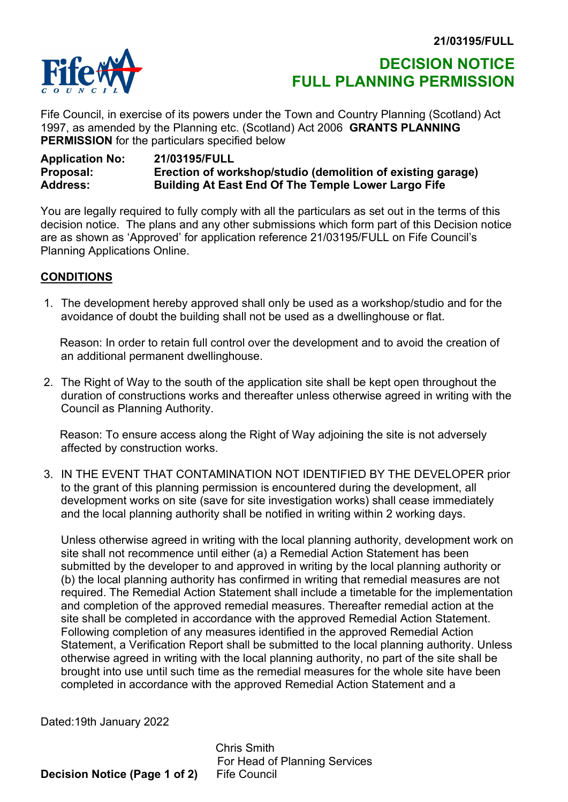

# DECISION NOTICE FULL PLANNING PERMISSION

Fife Council, in exercise of its powers under the Town and Country Planning (Scotland) Act 1997, as amended by the Planning etc. (Scotland) Act 2006 GRANTS PLANNING PERMISSION for the particulars specified below

# Application No: 21/03195/FULL<br>Proposal: Erection of work Proposal: Erection of workshop/studio (demolition of existing garage) Building At East End Of The Temple Lower Largo Fife

You are legally required to fully comply with all the particulars as set out in the terms of this decision notice. The plans and any other submissions which form part of this Decision notice are as shown as 'Approved' for application reference 21/03195/FULL on Fife Council's Planning Applications Online.

# CONDITIONS

 1. The development hereby approved shall only be used as a workshop/studio and for the avoidance of doubt the building shall not be used as a dwellinghouse or flat.

 Reason: In order to retain full control over the development and to avoid the creation of an additional permanent dwellinghouse.

 2. The Right of Way to the south of the application site shall be kept open throughout the duration of constructions works and thereafter unless otherwise agreed in writing with the Council as Planning Authority.

 Reason: To ensure access along the Right of Way adjoining the site is not adversely affected by construction works.

 3. IN THE EVENT THAT CONTAMINATION NOT IDENTIFIED BY THE DEVELOPER prior to the grant of this planning permission is encountered during the development, all development works on site (save for site investigation works) shall cease immediately and the local planning authority shall be notified in writing within 2 working days.

Unless otherwise agreed in writing with the local planning authority, development work on site shall not recommence until either (a) a Remedial Action Statement has been submitted by the developer to and approved in writing by the local planning authority or (b) the local planning authority has confirmed in writing that remedial measures are not required. The Remedial Action Statement shall include a timetable for the implementation and completion of the approved remedial measures. Thereafter remedial action at the site shall be completed in accordance with the approved Remedial Action Statement. Following completion of any measures identified in the approved Remedial Action Statement, a Verification Report shall be submitted to the local planning authority. Unless otherwise agreed in writing with the local planning authority, no part of the site shall be brought into use until such time as the remedial measures for the whole site have been completed in accordance with the approved Remedial Action Statement and a

Dated:19th January 2022

 Chris Smith For Head of Planning Services Decision Notice (Page 1 of 2) Fife Council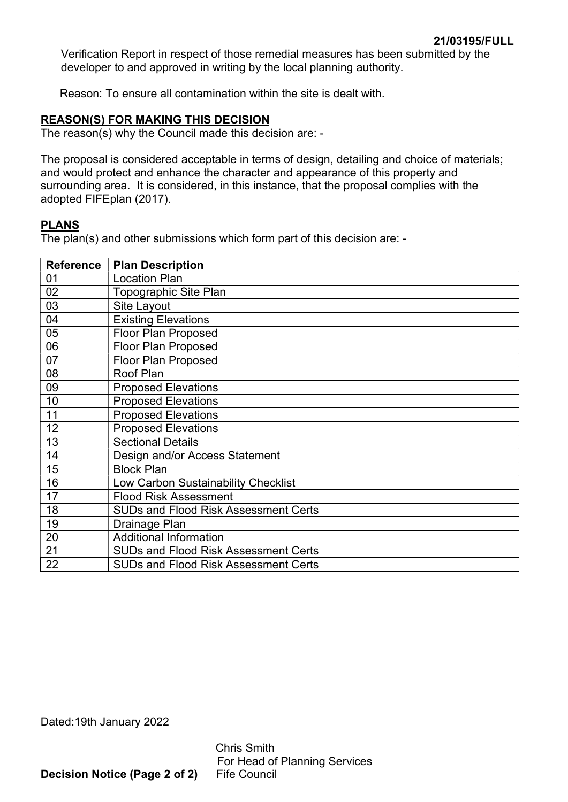Verification Report in respect of those remedial measures has been submitted by the developer to and approved in writing by the local planning authority.

Reason: To ensure all contamination within the site is dealt with.

# REASON(S) FOR MAKING THIS DECISION

The reason(s) why the Council made this decision are: -

The proposal is considered acceptable in terms of design, detailing and choice of materials; and would protect and enhance the character and appearance of this property and surrounding area. It is considered, in this instance, that the proposal complies with the adopted FIFEplan (2017).

# PLANS

The plan(s) and other submissions which form part of this decision are: -

| <b>Reference</b> | <b>Plan Description</b>                     |  |  |
|------------------|---------------------------------------------|--|--|
| 01               | <b>Location Plan</b>                        |  |  |
| 02               | Topographic Site Plan                       |  |  |
| 03               | Site Layout                                 |  |  |
| 04               | <b>Existing Elevations</b>                  |  |  |
| 05               | <b>Floor Plan Proposed</b>                  |  |  |
| 06               | <b>Floor Plan Proposed</b>                  |  |  |
| 07               | <b>Floor Plan Proposed</b>                  |  |  |
| 08               | Roof Plan                                   |  |  |
| 09               | <b>Proposed Elevations</b>                  |  |  |
| 10               | <b>Proposed Elevations</b>                  |  |  |
| 11               | <b>Proposed Elevations</b>                  |  |  |
| 12               | <b>Proposed Elevations</b>                  |  |  |
| 13               | <b>Sectional Details</b>                    |  |  |
| 14               | Design and/or Access Statement              |  |  |
| 15               | <b>Block Plan</b>                           |  |  |
| 16               | Low Carbon Sustainability Checklist         |  |  |
| 17               | <b>Flood Risk Assessment</b>                |  |  |
| 18               | <b>SUDs and Flood Risk Assessment Certs</b> |  |  |
| 19               | Drainage Plan                               |  |  |
| 20               | <b>Additional Information</b>               |  |  |
| 21               | <b>SUDs and Flood Risk Assessment Certs</b> |  |  |
| 22               | <b>SUDs and Flood Risk Assessment Certs</b> |  |  |

Dated:19th January 2022

 Chris Smith For Head of Planning Services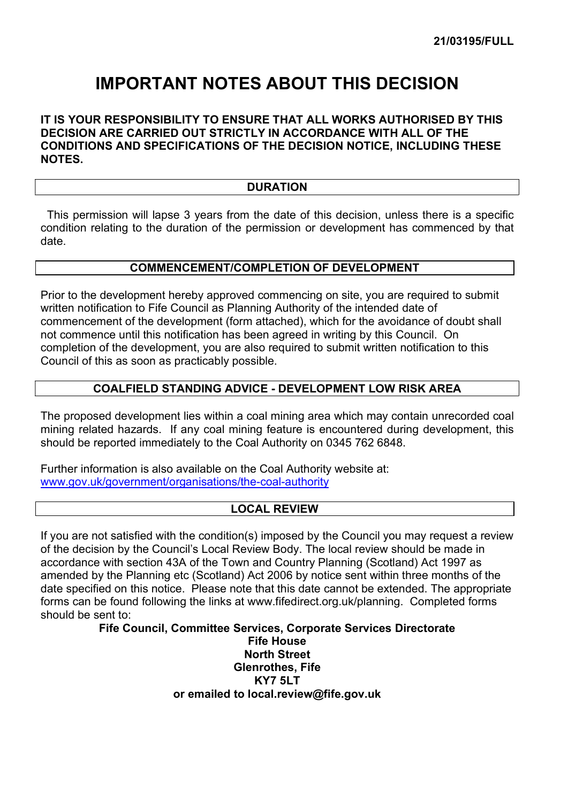# IMPORTANT NOTES ABOUT THIS DECISION

# IT IS YOUR RESPONSIBILITY TO ENSURE THAT ALL WORKS AUTHORISED BY THIS DECISION ARE CARRIED OUT STRICTLY IN ACCORDANCE WITH ALL OF THE CONDITIONS AND SPECIFICATIONS OF THE DECISION NOTICE, INCLUDING THESE NOTES.

### **DURATION**

 This permission will lapse 3 years from the date of this decision, unless there is a specific condition relating to the duration of the permission or development has commenced by that date.

#### COMMENCEMENT/COMPLETION OF DEVELOPMENT

Prior to the development hereby approved commencing on site, you are required to submit written notification to Fife Council as Planning Authority of the intended date of commencement of the development (form attached), which for the avoidance of doubt shall not commence until this notification has been agreed in writing by this Council. On completion of the development, you are also required to submit written notification to this Council of this as soon as practicably possible.

# COALFIELD STANDING ADVICE - DEVELOPMENT LOW RISK AREA

The proposed development lies within a coal mining area which may contain unrecorded coal mining related hazards. If any coal mining feature is encountered during development, this should be reported immediately to the Coal Authority on 0345 762 6848.

Further information is also available on the Coal Authority website at: www.gov.uk/government/organisations/the-coal-authority

# LOCAL REVIEW

If you are not satisfied with the condition(s) imposed by the Council you may request a review of the decision by the Council's Local Review Body. The local review should be made in accordance with section 43A of the Town and Country Planning (Scotland) Act 1997 as amended by the Planning etc (Scotland) Act 2006 by notice sent within three months of the date specified on this notice. Please note that this date cannot be extended. The appropriate forms can be found following the links at www.fifedirect.org.uk/planning. Completed forms should be sent to:

Fife Council, Committee Services, Corporate Services Directorate

Fife House North Street Glenrothes, Fife KY7 5LT or emailed to local.review@fife.gov.uk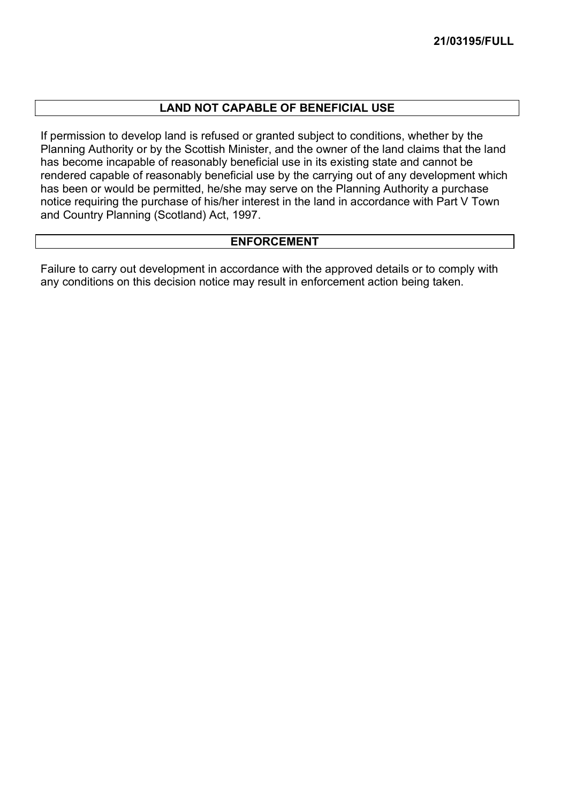# LAND NOT CAPABLE OF BENEFICIAL USE

If permission to develop land is refused or granted subject to conditions, whether by the Planning Authority or by the Scottish Minister, and the owner of the land claims that the land has become incapable of reasonably beneficial use in its existing state and cannot be rendered capable of reasonably beneficial use by the carrying out of any development which has been or would be permitted, he/she may serve on the Planning Authority a purchase notice requiring the purchase of his/her interest in the land in accordance with Part V Town and Country Planning (Scotland) Act, 1997.

# ENFORCEMENT

Failure to carry out development in accordance with the approved details or to comply with any conditions on this decision notice may result in enforcement action being taken.